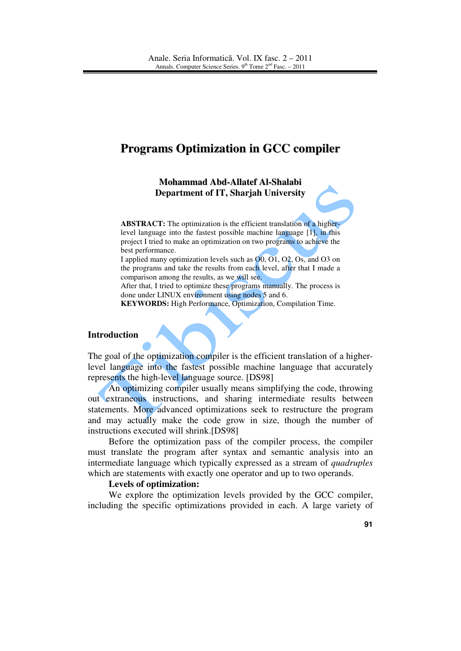## **Programs Optimization in GCC compiler**

**Mohammad Abd-Allatef Al-Shalabi Department of IT, Sharjah University** 

**ABSTRACT:** The optimization is the efficient translation of a higherlevel language into the fastest possible machine language [1], in this project I tried to make an optimization on two programs to achieve the best performance.

I applied many optimization levels such as O0, O1, O2, Os, and O3 on the programs and take the results from each level, after that I made a comparison among the results, as we will see.

After that, I tried to optimize these programs manually. The process is done under LINUX environment using nodes 5 and 6.

**KEYWORDS:** High Performance, Optimization, Compilation Time.

#### **Introduction**

The goal of the optimization compiler is the efficient translation of a higherlevel language into the fastest possible machine language that accurately represents the high-level language source. [DS98]

An optimizing compiler usually means simplifying the code, throwing out extraneous instructions, and sharing intermediate results between statements. More advanced optimizations seek to restructure the program and may actually make the code grow in size, though the number of instructions executed will shrink.[DS98]

Before the optimization pass of the compiler process, the compiler must translate the program after syntax and semantic analysis into an intermediate language which typically expressed as a stream of *quadruples* which are statements with exactly one operator and up to two operands.

#### **Levels of optimization:**

We explore the optimization levels provided by the GCC compiler, including the specific optimizations provided in each. A large variety of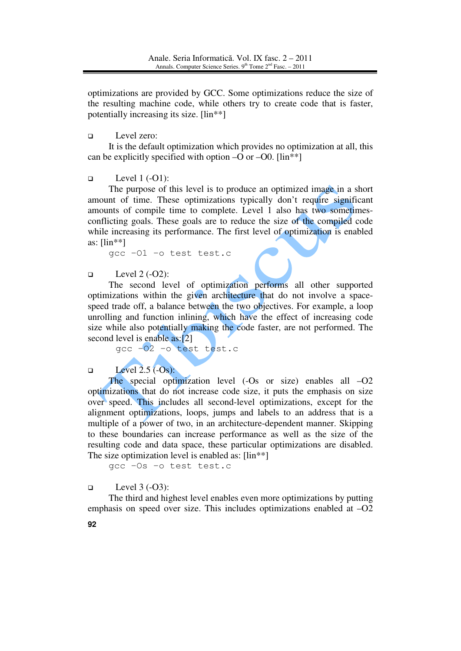optimizations are provided by GCC. Some optimizations reduce the size of the resulting machine code, while others try to create code that is faster, potentially increasing its size. [lin\*\*]

Level zero:

It is the default optimization which provides no optimization at all, this can be explicitly specified with option  $-$ O or  $-$ O0. [lin\*\*]

 $\Box$  Level 1 (-O1):

The purpose of this level is to produce an optimized image in a short amount of time. These optimizations typically don't require significant amounts of compile time to complete. Level 1 also has two sometimesconflicting goals. These goals are to reduce the size of the compiled code while increasing its performance. The first level of optimization is enabled as:  $\lim^{**}$ ]

gcc –O1 –o test test.c

 $\Box$  Level 2 (-O2):

The second level of optimization performs all other supported optimizations within the given architecture that do not involve a spacespeed trade off, a balance between the two objectives. For example, a loop unrolling and function inlining, which have the effect of increasing code size while also potentially making the code faster, are not performed. The second level is enable as:[2]

gcc –O2 –o test test.c

 $\Box$  Level 2.5 (-Os):

The special optimization level (-Os or size) enables all -O2 optimizations that do not increase code size, it puts the emphasis on size over speed. This includes all second-level optimizations, except for the alignment optimizations, loops, jumps and labels to an address that is a multiple of a power of two, in an architecture-dependent manner. Skipping to these boundaries can increase performance as well as the size of the resulting code and data space, these particular optimizations are disabled. The size optimization level is enabled as:  $\lceil \text{lin}^{**} \rceil$ 

gcc –Os –o test test.c

 $\Box$  Level 3 (-O3):

The third and highest level enables even more optimizations by putting emphasis on speed over size. This includes optimizations enabled at –O2

**92**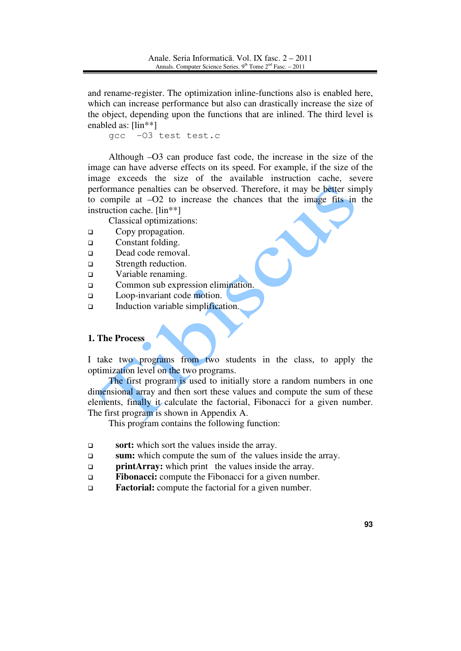and rename-register. The optimization inline-functions also is enabled here, which can increase performance but also can drastically increase the size of the object, depending upon the functions that are inlined. The third level is enabled as: [lin\*\*]

```
gcc -O3 test test.c
```
Although –O3 can produce fast code, the increase in the size of the image can have adverse effects on its speed. For example, if the size of the image exceeds the size of the available instruction cache, severe performance penalties can be observed. Therefore, it may be better simply to compile at –O2 to increase the chances that the image fits in the instruction cache. [lin\*\*]

Classical optimizations:

- □ Copy propagation.
- Constant folding.
- Dead code removal.
- $\Box$  Strength reduction.
- **Q** Variable renaming.
- **Common sub expression elimination.**
- □ Loop-invariant code motion.
- Induction variable simplification.

#### **1. The Process**

I take two programs from two students in the class, to apply the optimization level on the two programs.

The first program is used to initially store a random numbers in one dimensional array and then sort these values and compute the sum of these elements, finally it calculate the factorial, Fibonacci for a given number. The first program is shown in Appendix A.

This program contains the following function:

- **sort:** which sort the values inside the array.
- **sum:** which compute the sum of the values inside the array.
- **printArray:** which print the values inside the array.
- **Fibonacci:** compute the Fibonacci for a given number.
- **Factorial:** compute the factorial for a given number.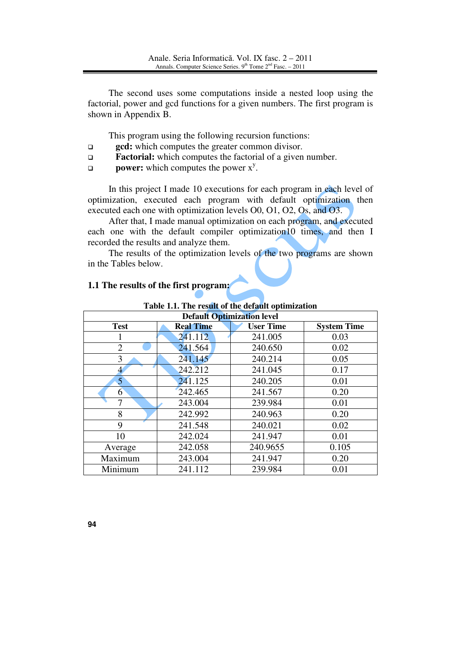The second uses some computations inside a nested loop using the factorial, power and gcd functions for a given numbers. The first program is shown in Appendix B.

This program using the following recursion functions:

- **gcd:** which computes the greater common divisor.
- **Factorial:** which computes the factorial of a given number.
- **power:** which computes the power  $x^y$ .

In this project I made 10 executions for each program in each level of optimization, executed each program with default optimization then executed each one with optimization levels O0, O1, O2, Os, and O3.

After that, I made manual optimization on each program, and executed each one with the default compiler optimization10 times, and then I recorded the results and analyze them.

The results of the optimization levels of the two programs are shown in the Tables below.

|                | <b>Default Optimization level</b> |                  |                    |
|----------------|-----------------------------------|------------------|--------------------|
| <b>Test</b>    | <b>Real Time</b>                  | <b>User Time</b> | <b>System Time</b> |
|                | 241.112                           | 241.005          | 0.03               |
| $\overline{2}$ | 241.564                           | 240.650          | 0.02               |
| 3              | 241.145                           | 240.214          | 0.05               |
|                | 242.212                           | 241.045          | 0.17               |
| 5              | 241.125                           | 240.205          | 0.01               |
| 6              | 242.465                           | 241.567          | 0.20               |
| 7              | 243.004                           | 239.984          | 0.01               |
| 8              | 242.992                           | 240.963          | 0.20               |
| 9              | 241.548                           | 240.021          | 0.02               |
| 10             | 242.024                           | 241.947          | 0.01               |
| Average        | 242.058                           | 240.9655         | 0.105              |
| Maximum        | 243.004                           | 241.947          | 0.20               |
| Minimum        | 241.112                           | 239.984          | 0.01               |

## **1.1 The results of the first program:**

#### **Table 1.1. The result of the default optimization**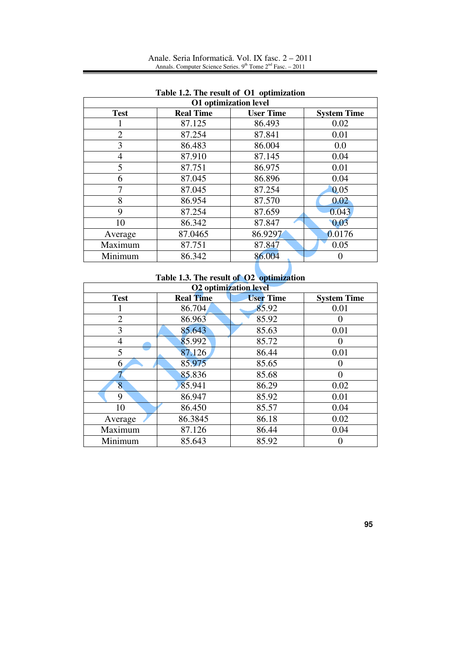Anale. Seria Informatică. Vol. IX fasc. 2 – 2011 Annals. Computer Science Series. 9<sup>th</sup> Tome 2<sup>nd</sup> Fasc. – 2011

|                |                  | <b>O1</b> optimization level |                    |
|----------------|------------------|------------------------------|--------------------|
| <b>Test</b>    | <b>Real Time</b> | <b>User Time</b>             | <b>System Time</b> |
|                | 87.125           | 86.493                       | 0.02               |
| $\overline{2}$ | 87.254           | 87.841                       | 0.01               |
| 3              | 86.483           | 86.004                       | 0.0                |
| 4              | 87.910           | 87.145                       | 0.04               |
| 5              | 87.751           | 86.975                       | 0.01               |
| 6              | 87.045           | 86.896                       | 0.04               |
|                | 87.045           | 87.254                       | 0.05               |
| 8              | 86.954           | 87.570                       | 0.02               |
| 9              | 87.254           | 87.659                       | 0.043              |
| 10             | 86.342           | 87.847                       | 0.03               |
| Average        | 87.0465          | 86.9297                      | 0.0176             |
| Maximum        | 87.751           | 87.847                       | 0.05               |
| Minimum        | 86.342           | 86.004                       |                    |

## **Table 1.2. The result of O1 optimization**

# **Table 1.3. The result of O2 optimization**

|                |                  | <b>O2</b> optimization level |                    |
|----------------|------------------|------------------------------|--------------------|
| <b>Test</b>    | <b>Real Time</b> | <b>User Time</b>             | <b>System Time</b> |
|                | 86.704           | 85.92                        | 0.01               |
| $\overline{2}$ | 86.963           | 85.92                        |                    |
| 3              | 85.643           | 85.63                        | 0.01               |
| 4              | 85.992           | 85.72                        |                    |
| 5              | 87.126           | 86.44                        | 0.01               |
| 6              | 85.975           | 85.65                        |                    |
|                | 85.836           | 85.68                        |                    |
| 8              | 85.941           | 86.29                        | 0.02               |
| 9              | 86.947           | 85.92                        | 0.01               |
| 10             | 86.450           | 85.57                        | 0.04               |
| Average        | 86.3845          | 86.18                        | 0.02               |
| Maximum        | 87.126           | 86.44                        | 0.04               |
| Minimum        | 85.643           | 85.92                        |                    |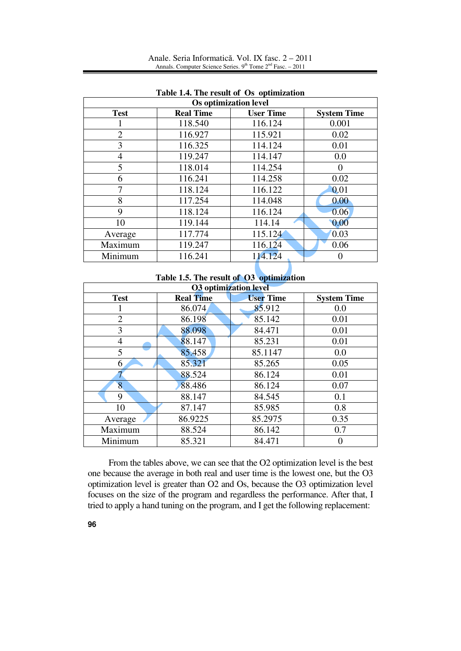Anale. Seria Informatică. Vol. IX fasc. 2 – 2011 Annals. Computer Science Series.  $9<sup>th</sup>$  Tome  $2<sup>nd</sup>$  Fasc. – 2011

|                |                  | <b>Os optimization level</b> |                    |
|----------------|------------------|------------------------------|--------------------|
| <b>Test</b>    | <b>Real Time</b> | <b>User Time</b>             | <b>System Time</b> |
|                | 118.540          | 116.124                      | 0.001              |
| $\overline{2}$ | 116.927          | 115.921                      | 0.02               |
| 3              | 116.325          | 114.124                      | 0.01               |
| 4              | 119.247          | 114.147                      | 0.0                |
| 5              | 118.014          | 114.254                      |                    |
| 6              | 116.241          | 114.258                      | 0.02               |
|                | 118.124          | 116.122                      | 0.01               |
| 8              | 117.254          | 114.048                      | 0.00               |
| 9              | 118.124          | 116.124                      | 0.06               |
| 10             | 119.144          | 114.14                       | 0.00               |
| Average        | 117.774          | 115.124                      | 0.03               |
| Maximum        | 119.247          | 116.124                      | 0.06               |
| Minimum        | 116.241          | 114.124                      |                    |

**Table 1.4. The result of Os optimization** 

#### **Table 1.5. The result of O3 optimization**

|                |                  | <b>O3</b> optimization level |                    |
|----------------|------------------|------------------------------|--------------------|
| <b>Test</b>    | <b>Real Time</b> | <b>User Time</b>             | <b>System Time</b> |
|                | 86.074           | 85.912                       | 0.0                |
| $\overline{2}$ | 86.198           | 85.142                       | 0.01               |
| 3              | 88.098           | 84.471                       | 0.01               |
| 4              | 88.147           | 85.231                       | 0.01               |
| 5              | 85.458           | 85.1147                      | 0.0                |
| 6              | 85.321           | 85.265                       | 0.05               |
|                | 88.524           | 86.124                       | 0.01               |
| 8              | 88.486           | 86.124                       | 0.07               |
| 9              | 88.147           | 84.545                       | 0.1                |
| 10             | 87.147           | 85.985                       | 0.8                |
| Average        | 86.9225          | 85.2975                      | 0.35               |
| Maximum        | 88.524           | 86.142                       | 0.7                |
| Minimum        | 85.321           | 84.471                       |                    |

From the tables above, we can see that the O2 optimization level is the best one because the average in both real and user time is the lowest one, but the O3 optimization level is greater than O2 and Os, because the O3 optimization level focuses on the size of the program and regardless the performance. After that, I tried to apply a hand tuning on the program, and I get the following replacement: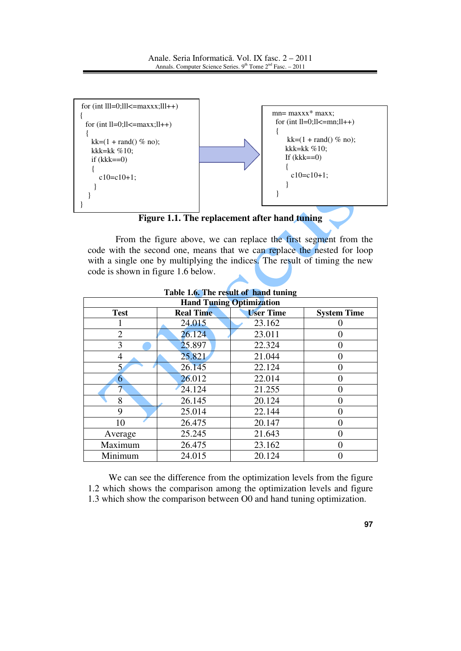

**Figure 1.1. The replacement after hand tuning** 

From the figure above, we can replace the first segment from the code with the second one, means that we can replace the nested for loop with a single one by multiplying the indices. The result of timing the new code is shown in figure 1.6 below.

|                |                  | <b>Hand Tuning Optimization</b> |                    |
|----------------|------------------|---------------------------------|--------------------|
| <b>Test</b>    | <b>Real Time</b> | <b>User Time</b>                | <b>System Time</b> |
|                | 24.015           | 23.162                          |                    |
| $\overline{2}$ | 26.124           | 23.011                          |                    |
| 3              | 25.897           | 22.324                          |                    |
| 4              | 25.821           | 21.044                          |                    |
| 5              | 26.145           | 22.124                          |                    |
| 6              | 26.012           | 22.014                          |                    |
|                | 24.124           | 21.255                          |                    |
| 8              | 26.145           | 20.124                          |                    |
| 9              | 25.014           | 22.144                          |                    |
| 10             | 26.475           | 20.147                          |                    |
| Average        | 25.245           | 21.643                          |                    |
| Maximum        | 26.475           | 23.162                          |                    |
| Minimum        | 24.015           | 20.124                          |                    |

**Table 1.6. The result of hand tuning**

We can see the difference from the optimization levels from the figure 1.2 which shows the comparison among the optimization levels and figure 1.3 which show the comparison between O0 and hand tuning optimization.

**97**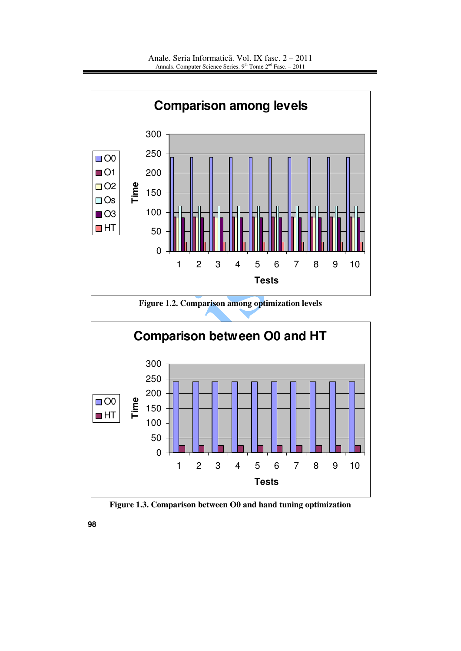

**Figure 1.2. Comparison among optimization levels**



**Figure 1.3. Comparison between O0 and hand tuning optimization**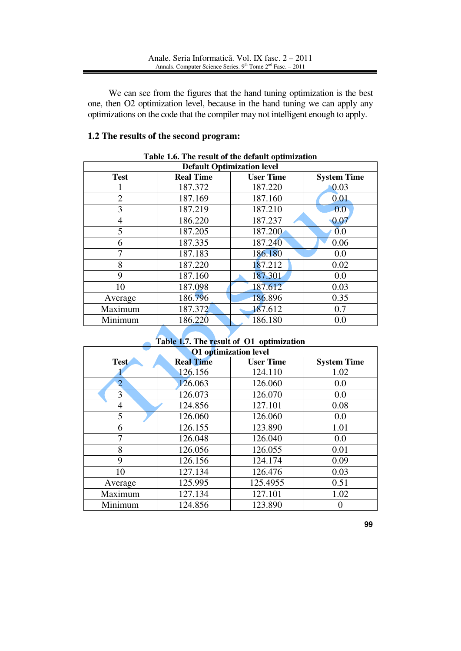We can see from the figures that the hand tuning optimization is the best one, then O2 optimization level, because in the hand tuning we can apply any optimizations on the code that the compiler may not intelligent enough to apply.

## **1.2 The results of the second program:**

|                | <b>Table 1.0.</b> The result of the default optimization | <b>Default Optimization level</b> |                    |
|----------------|----------------------------------------------------------|-----------------------------------|--------------------|
|                |                                                          |                                   |                    |
| <b>Test</b>    | <b>Real Time</b>                                         | <b>User Time</b>                  | <b>System Time</b> |
|                | 187.372                                                  | 187.220                           | 0.03               |
| $\overline{2}$ | 187.169                                                  | 187.160                           | 0.01               |
| 3              | 187.219                                                  | 187.210                           | 0.0                |
| 4              | 186.220                                                  | 187.237                           | 0.07               |
| 5              | 187.205                                                  | 187.200                           | 0.0                |
| 6              | 187.335                                                  | 187.240                           | 0.06               |
| 7              | 187.183                                                  | 186.180                           | 0.0                |
| 8              | 187.220                                                  | 187.212                           | 0.02               |
| 9              | 187.160                                                  | 187.301                           | 0.0                |
| 10             | 187.098                                                  | 187.612                           | 0.03               |
| Average        | 186.796                                                  | 186.896                           | 0.35               |
| Maximum        | 187.372                                                  | 187.612                           | 0.7                |
| Minimum        | 186.220                                                  | 186.180                           | 0.0                |

### **Table 1.6. The result of the default optimization**

### **Table 1.7. The result of O1 optimization**

|                | <b>O1</b> optimization level |                  |                    |
|----------------|------------------------------|------------------|--------------------|
| <b>Test</b>    | <b>Real Time</b>             | <b>User Time</b> | <b>System Time</b> |
|                | 126.156                      | 124.110          | 1.02               |
| $\overline{2}$ | 126.063                      | 126.060          | 0.0                |
| 3              | 126.073                      | 126.070          | 0.0                |
| 4              | 124.856                      | 127.101          | 0.08               |
| 5              | 126.060                      | 126.060          | 0.0                |
| 6              | 126.155                      | 123.890          | 1.01               |
|                | 126.048                      | 126.040          | 0.0                |
| 8              | 126.056                      | 126.055          | 0.01               |
| 9              | 126.156                      | 124.174          | 0.09               |
| 10             | 127.134                      | 126.476          | 0.03               |
| Average        | 125.995                      | 125.4955         | 0.51               |
| Maximum        | 127.134                      | 127.101          | 1.02               |
| Minimum        | 124.856                      | 123.890          |                    |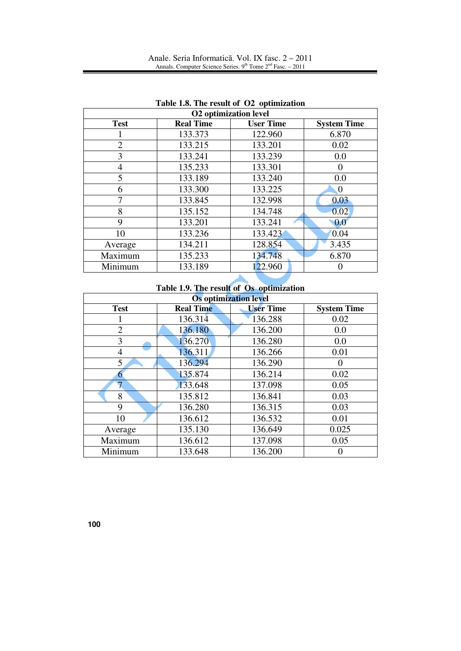|             |                  | $1.001$ , $1.011$ $1.001$ $01$ $02$ $0$ $0.001$ $0.001$<br><b>O2</b> optimization level |                    |
|-------------|------------------|-----------------------------------------------------------------------------------------|--------------------|
| <b>Test</b> | <b>Real Time</b> | <b>User Time</b>                                                                        | <b>System Time</b> |
|             | 133.373          | 122.960                                                                                 | 6.870              |
| 2           | 133.215          | 133.201                                                                                 | 0.02               |
| 3           | 133.241          | 133.239                                                                                 | 0.0                |
| 4           | 135.233          | 133.301                                                                                 |                    |
| 5           | 133.189          | 133.240                                                                                 | 0.0                |
| 6           | 133.300          | 133.225                                                                                 | $\theta$           |
|             | 133.845          | 132.998                                                                                 | 0.03               |
| 8           | 135.152          | 134.748                                                                                 | 0.02               |
| 9           | 133.201          | 133.241                                                                                 | 0.0                |
| 10          | 133.236          | 133.423                                                                                 | 0.04               |
| Average     | 134.211          | 128.854                                                                                 | 3.435              |
| Maximum     | 135.233          | 134.748                                                                                 | 6.870              |
| Minimum     | 133.189          | 122.960                                                                                 |                    |

**Table 1.8. The result of O2 optimization**

## **Table 1.9. The result of Os optimization**

|                |                  | <b>Os optimization level</b> |                    |
|----------------|------------------|------------------------------|--------------------|
| <b>Test</b>    | <b>Real Time</b> | <b>User Time</b>             | <b>System Time</b> |
|                | 136.314          | 136.288                      | 0.02               |
| $\overline{2}$ | 136.180          | 136.200                      | 0.0                |
| 3              | 136.270          | 136.280                      | 0.0                |
| 4              | 136.311          | 136.266                      | 0.01               |
| 5              | 136.294          | 136.290                      |                    |
| n              | 135.874          | 136.214                      | 0.02               |
|                | 133.648          | 137.098                      | 0.05               |
| 8              | 135.812          | 136.841                      | 0.03               |
| 9              | 136.280          | 136.315                      | 0.03               |
| 10             | 136.612          | 136.532                      | 0.01               |
| Average        | 135.130          | 136.649                      | 0.025              |
| Maximum        | 136.612          | 137.098                      | 0.05               |
| Minimum        | 133.648          | 136.200                      |                    |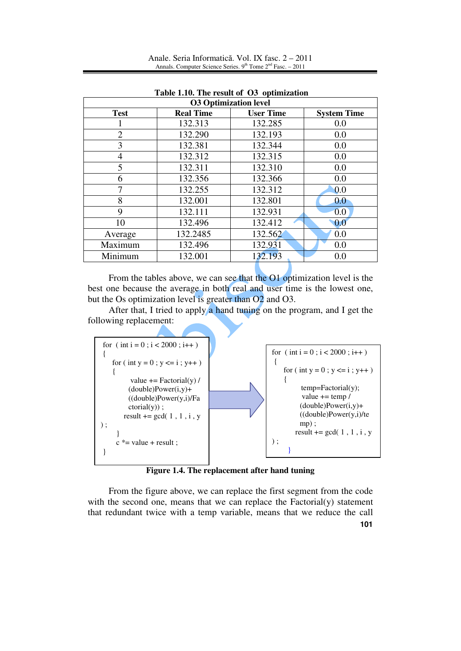Anale. Seria Informatică. Vol. IX fasc. 2 – 2011 Annals. Computer Science Series.  $9<sup>th</sup>$  Tome  $2<sup>nd</sup>$  Fasc. – 2011

|                |                  | Lable 1.10. The result of O3 optimization<br><b>03 Optimization level</b> |                    |
|----------------|------------------|---------------------------------------------------------------------------|--------------------|
| <b>Test</b>    | <b>Real Time</b> | <b>User Time</b>                                                          | <b>System Time</b> |
|                | 132.313          | 132.285                                                                   | 0.0                |
| $\overline{2}$ | 132.290          | 132.193                                                                   | 0.0                |
| 3              | 132.381          | 132.344                                                                   | 0.0                |
| 4              | 132.312          | 132.315                                                                   | 0.0                |
| 5              | 132.311          | 132.310                                                                   | 0.0                |
| 6              | 132.356          | 132.366                                                                   | 0.0                |
|                | 132.255          | 132.312                                                                   | 0.0                |
| 8              | 132.001          | 132.801                                                                   | 0.0                |
| 9              | 132.111          | 132.931                                                                   | 0.0                |
| 10             | 132.496          | 132.412                                                                   | 0.0                |
| Average        | 132.2485         | 132.562                                                                   | 0.0                |
| Maximum        | 132.496          | 132.931                                                                   | 0.0                |
| Minimum        | 132.001          | 132.193                                                                   | 0.0                |

| Table 1.10. The result of O3 optimization |
|-------------------------------------------|
|-------------------------------------------|

From the tables above, we can see that the O1 optimization level is the best one because the average in both real and user time is the lowest one, but the Os optimization level is greater than O2 and O3.

After that, I tried to apply a hand tuning on the program, and I get the following replacement:



**Figure 1.4. The replacement after hand tuning**

**101** From the figure above, we can replace the first segment from the code with the second one, means that we can replace the Factorial(y) statement that redundant twice with a temp variable, means that we reduce the call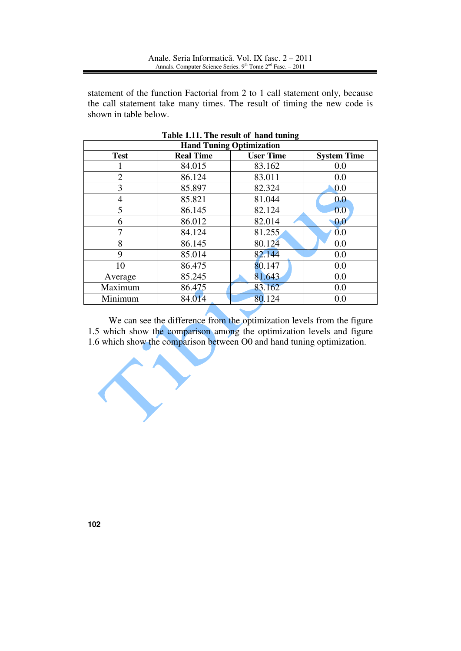statement of the function Factorial from 2 to 1 call statement only, because the call statement take many times. The result of timing the new code is shown in table below.

| Table 1.11. The result of hand tuning<br><b>Hand Tuning Optimization</b> |                  |                  |                    |
|--------------------------------------------------------------------------|------------------|------------------|--------------------|
| <b>Test</b>                                                              | <b>Real Time</b> | <b>User Time</b> | <b>System Time</b> |
|                                                                          | 84.015           | 83.162           | 0.0                |
| $\overline{2}$                                                           | 86.124           | 83.011           | 0.0                |
| 3                                                                        | 85.897           | 82.324           | 0.0                |
| 4                                                                        | 85.821           | 81.044           | 0.0                |
| 5                                                                        | 86.145           | 82.124           | 0.0                |
| 6                                                                        | 86.012           | 82.014           | 0.0                |
|                                                                          | 84.124           | 81.255           | 0.0                |
| 8                                                                        | 86.145           | 80.124           | 0.0                |
| 9                                                                        | 85.014           | 82.144           | 0.0                |
| 10                                                                       | 86.475           | 80.147           | 0.0                |
| Average                                                                  | 85.245           | 81.643           | 0.0                |
| Maximum                                                                  | 86.475           | 83.162           | 0.0                |
| Minimum                                                                  | 84.014           | 80.124           | 0.0                |

**Table 1.11. The result of hand tuning**

We can see the difference from the optimization levels from the figure 1.5 which show the comparison among the optimization levels and figure 1.6 which show the comparison between O0 and hand tuning optimization.

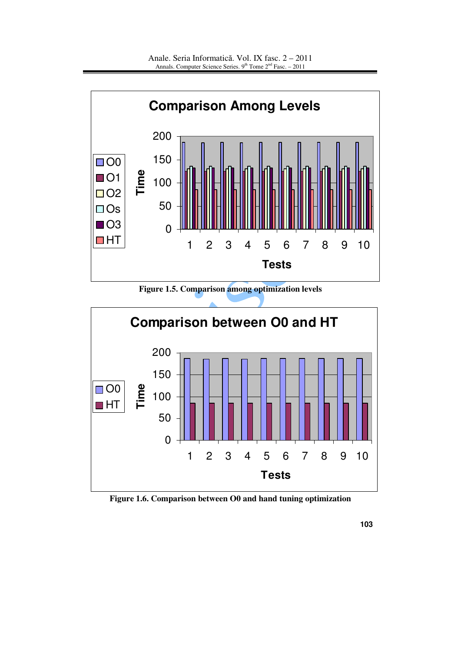

**Figure 1.5. Comparison among optimization levels**



**Figure 1.6. Comparison between O0 and hand tuning optimization**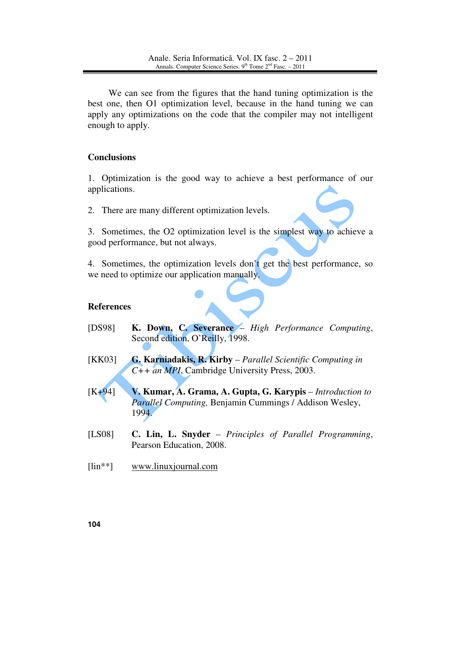We can see from the figures that the hand tuning optimization is the best one, then O1 optimization level, because in the hand tuning we can apply any optimizations on the code that the compiler may not intelligent enough to apply.

### **Conclusions**

1. Optimization is the good way to achieve a best performance of our applications.

2. There are many different optimization levels.

3. Sometimes, the O2 optimization level is the simplest way to achieve a good performance, but not always.

4. Sometimes, the optimization levels don't get the best performance, so we need to optimize our application manually.

#### **References**

- [DS98] **K. Down, C. Severance** *High Performance Computing*, Second edition, O'Reilly, 1998.
- [KK03] **G. Karniadakis, R. Kirby**  *Parallel Scientific Computing in C++ an MPI*, Cambridge University Press, 2003.
- [K+94] **V. Kumar, A. Grama, A. Gupta, G. Karypis** *Introduction to Parallel Computing,* Benjamin Cummings / Addison Wesley, 1994.
- [LS08] **C. Lin, L. Snyder** *Principles of Parallel Programming*, Pearson Education, 2008.
- [lin\*\*] www.linuxjournal.com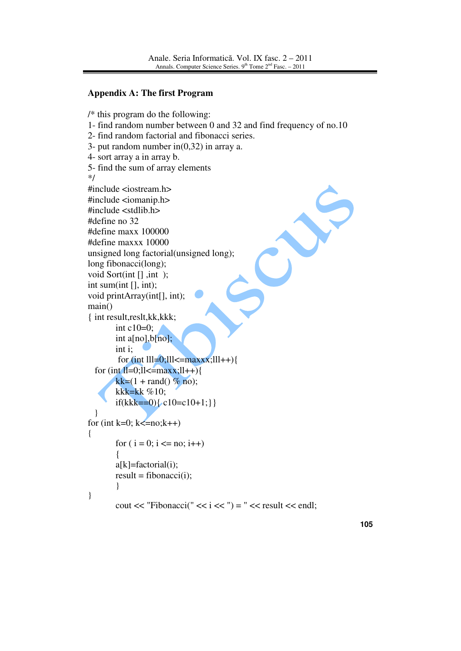#### **Appendix A: The first Program**

/\* this program do the following: 1- find random number between 0 and 32 and find frequency of no.10 2- find random factorial and fibonacci series. 3- put random number in(0,32) in array a. 4- sort array a in array b. 5- find the sum of array elements \*/ #include <iostream.h> #include <iomanip.h> #include <stdlib.h> #define no 32 #define maxx 100000 #define maxxx 10000 unsigned long factorial(unsigned long); long fibonacci(long); void Sort(int [], int ); int sum(int [], int); void printArray(int[], int); main() { int result,reslt,kk,kkk; int  $c10=0$ ; int a[no],b[no]; int i; for (int  $\text{III} = 0$ ;  $\text{III} < \text{max} \times x$ ;  $\text{III} + \text{H}$ ) { for  $(int ll=0; ll<=maxx; ll++)$ {  $kk=(1 + rand() % no);$ kkk=kk  $%10;$ if(kkk==0){  $c10=c10+1$ ; } } } for (int k=0; k $\le$ =no;k++) { for  $(i = 0; i \le m; i++)$  { a[k]=factorial(i);  $result = fibonacci(i);$  } } cout << "Fibonacci(" <<  $i \lt i \lt$ ") = " << result << endl;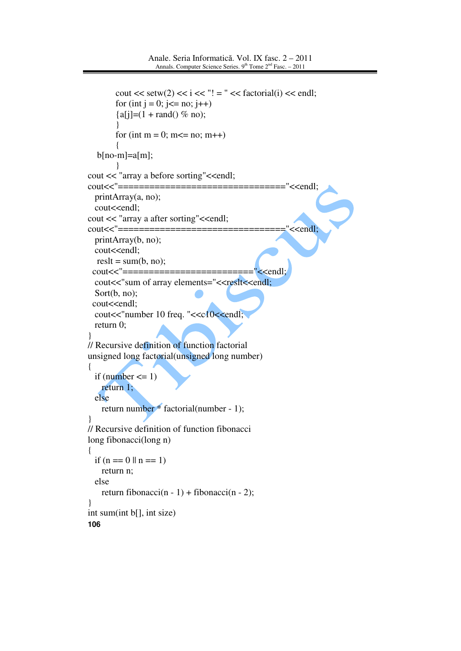```
106
       cout << setw(2) << i << \le i' \le "! = " << factorial(i) << endl;
       for (int j = 0; j \le no; j^{++})
       {a[i]=}(1 + rand() \% no); } 
       for (int m = 0; m \le no; m + +)
\{b[no-m]=a[m];
 } 
cout << "array a before sorting"<<endl; 
cout<<"================================"<<endl; 
  printArray(a, no); 
 cout<<endl:
cout << "array a after sorting"<<endl;
cout<<"================================"<<endl; 
  printArray(b, no); 
 cout<<endl;
  restt = sum(b, no); cout<<"========================="<<endl; 
 cout<<"sum of array elements="<<reslt<<endl;
 Sort(b, no);
 cout<<endl;
 cout<<"number 10 freq. "<<c10<<endl;
  return 0; 
} 
// Recursive definition of function factorial 
unsigned long factorial(unsigned long number) 
{ 
 if (number \leq 1)
    return 1; 
  else 
    return number * factorial(number - 1); 
} 
// Recursive definition of function fibonacci 
long fibonacci(long n) 
{ 
 if (n == 0 \parallel n == 1) return n; 
  else 
   return fibonacci(n - 1) + fibonacci(n - 2);
} 
int sum(int b[], int size)
```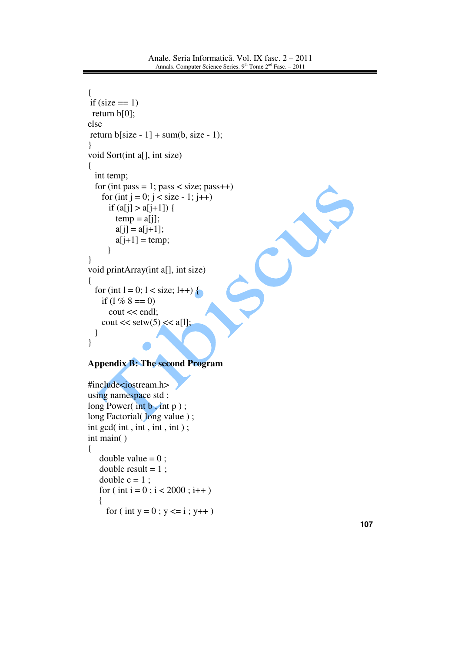```
{ 
if (size == 1) return b[0]; 
else 
return b[size - 1] + sum(b, size - 1);
} 
void Sort(int a[], int size) 
{ 
  int temp; 
 for (int pass = 1; pass < size; pass + +)
    for (int j = 0; j < size - 1; j++)
      if (a[i] > a[i+1]) {
        temp = a[j];a[i] = a[i+1];a[j+1] = temp; } 
} 
void printArray(int a[], int size) 
{ 
 for (int l = 0; l < size; l++) {
    if (1\% 8 == 0) cout << endl; 
    cout << setw(5) << a[l];
  } 
}
```
## **Appendix B: The second Program**

```
#include<iostream.h> 
using namespace std ; 
long Power( int b, int p);
long Factorial(long value);
int gcd( int , int , int , int ) ; 
int main( ) 
{ 
   double value = 0;
   double result = 1;
   double c = 1;
   for ( int i = 0; i < 2000; i++)
    { 
     for ( int y = 0 ; y \le i ; y++ )
```